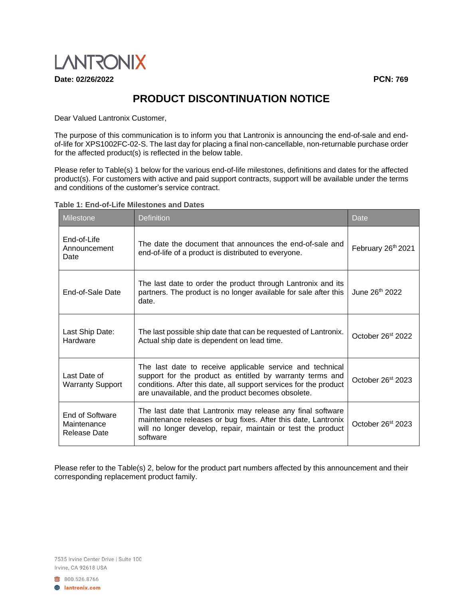

**Date: 02/26/2022 PCN: 769**

## **PRODUCT DISCONTINUATION NOTICE**

Dear Valued Lantronix Customer,

The purpose of this communication is to inform you that Lantronix is announcing the end-of-sale and endof-life for XPS1002FC-02-S. The last day for placing a final non-cancellable, non-returnable purchase order for the affected product(s) is reflected in the below table.

Please refer to Table(s) 1 below for the various end-of-life milestones, definitions and dates for the affected product(s). For customers with active and paid support contracts, support will be available under the terms and conditions of the customer's service contract.

## **Table 1: End-of-Life Milestones and Dates**

| <b>Milestone</b>                               | <b>Definition</b>                                                                                                                                                                                                                                 | Date                           |
|------------------------------------------------|---------------------------------------------------------------------------------------------------------------------------------------------------------------------------------------------------------------------------------------------------|--------------------------------|
| End-of-Life<br>Announcement<br>Date            | The date the document that announces the end-of-sale and<br>end-of-life of a product is distributed to everyone.                                                                                                                                  | February 26 <sup>th</sup> 2021 |
| End-of-Sale Date                               | The last date to order the product through Lantronix and its<br>partners. The product is no longer available for sale after this<br>date.                                                                                                         | June 26 <sup>th</sup> 2022     |
| Last Ship Date:<br>Hardware                    | The last possible ship date that can be requested of Lantronix.<br>Actual ship date is dependent on lead time.                                                                                                                                    | October 26st 2022              |
| Last Date of<br><b>Warranty Support</b>        | The last date to receive applicable service and technical<br>support for the product as entitled by warranty terms and<br>conditions. After this date, all support services for the product<br>are unavailable, and the product becomes obsolete. | October 26 <sup>st</sup> 2023  |
| End of Software<br>Maintenance<br>Release Date | The last date that Lantronix may release any final software<br>maintenance releases or bug fixes. After this date, Lantronix<br>will no longer develop, repair, maintain or test the product<br>software                                          | October 26 <sup>st</sup> 2023  |

Please refer to the Table(s) 2, below for the product part numbers affected by this announcement and their corresponding replacement product family.

7535 Irvine Center Drive | Suite 100 Irvine, CA 92618 USA

800.526.8766 **A** lantronix.com